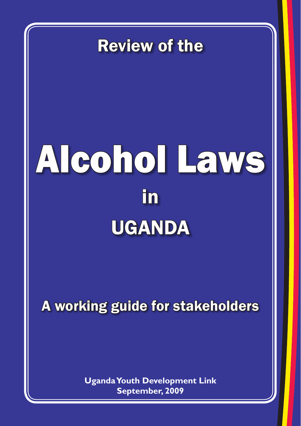Review of the

# Alcohol Laws in UGANDA

A working guide for stakeholders

**Uganda Youth Development Link September, 2009**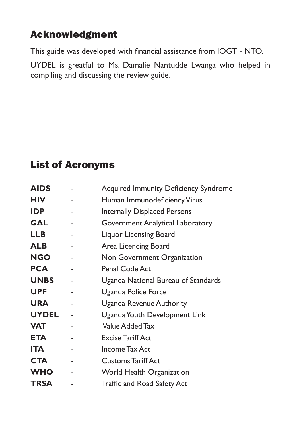# Acknowledgment

This guide was developed with financial assistance from IOGT - NTO.

UYDEL is greatful to Ms. Damalie Nantudde Lwanga who helped in compiling and discussing the review guide.

# List of Acronyms

| <b>AIDS</b>  | <b>Acquired Immunity Deficiency Syndrome</b> |
|--------------|----------------------------------------------|
| <b>HIV</b>   | Human Immunodeficiency Virus                 |
| <b>IDP</b>   | <b>Internally Displaced Persons</b>          |
| <b>GAL</b>   | Government Analytical Laboratory             |
| <b>LLB</b>   | Liquor Licensing Board                       |
| <b>ALB</b>   | Area Licencing Board                         |
| <b>NGO</b>   | Non Government Organization                  |
| <b>PCA</b>   | Penal Code Act                               |
| <b>UNBS</b>  | Uganda National Bureau of Standards          |
| <b>UPF</b>   | Uganda Police Force                          |
| <b>URA</b>   | Uganda Revenue Authority                     |
| <b>UYDEL</b> | Uganda Youth Development Link                |
| <b>VAT</b>   | <b>Value Added Tax</b>                       |
| ETA          | <b>Excise Tariff Act</b>                     |
| <b>ITA</b>   | Income Tax Act                               |
| <b>CTA</b>   | <b>Customs Tariff Act</b>                    |
| <b>WHO</b>   | World Health Organization                    |
| <b>TRSA</b>  | <b>Traffic and Road Safety Act</b>           |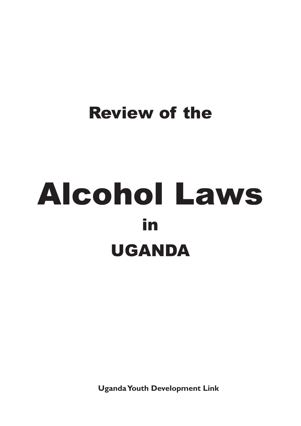# Review of the

# Alcohol Laws in UGANDA

**Uganda Youth Development Link**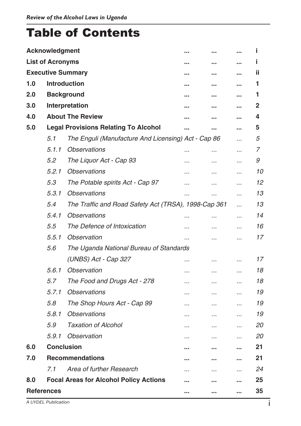# Table of Contents

|                           | Acknowledgment                   |                                                      |          |           |           | Î  |
|---------------------------|----------------------------------|------------------------------------------------------|----------|-----------|-----------|----|
|                           | <b>List of Acronyms</b>          |                                                      |          |           |           | Î. |
|                           | <b>Executive Summary</b><br><br> |                                                      |          |           |           | ii |
| 1.0                       |                                  | <b>Introduction</b>                                  |          |           |           | 1  |
| 2.0                       |                                  | <b>Background</b>                                    |          |           |           | 1  |
| 3.0                       |                                  | Interpretation                                       |          |           |           | 2  |
| 4.0                       |                                  | <b>About The Review</b>                              |          |           |           | 4  |
| 5.0                       |                                  | <b>Legal Provisions Relating To Alcohol</b>          |          |           |           | 5  |
|                           | 5.1                              | The Enguli (Manufacture And Licensing) Act - Cap 86  |          |           |           | 5  |
|                           | 5.1.1                            | <i><b>Observations</b></i>                           | $\cdots$ |           |           | 7  |
|                           | 5.2                              | The Liquor Act - Cap 93                              |          |           |           | 9  |
|                           | 5.2.1                            | <b>Observations</b>                                  |          |           |           | 10 |
|                           | 5.3                              | The Potable spirits Act - Cap 97                     |          |           | $\cdot$ . | 12 |
|                           | 5.3.1                            | <b>Observations</b>                                  |          |           |           | 13 |
|                           | 5.4                              | The Traffic and Road Safety Act (TRSA), 1998-Cap 361 |          |           |           | 13 |
|                           | 5.4.1                            | <i><b>Observations</b></i>                           |          |           |           | 14 |
|                           | 5.5                              | The Defence of Intoxication                          |          |           |           | 16 |
|                           | 5.5.1                            | <b>Observation</b>                                   |          |           |           | 17 |
|                           | 5.6                              | The Uganda National Bureau of Standards              |          |           |           |    |
|                           |                                  | (UNBS) Act - Cap 327                                 |          |           |           | 17 |
|                           | 5.6.1                            | <i><b>Observation</b></i>                            |          | $\cdots$  |           | 18 |
|                           | 5.7                              | The Food and Drugs Act - 278                         |          | $\cdots$  | $\cdot$ . | 18 |
|                           | 5.7.1                            | <i><b>Observations</b></i>                           |          |           |           | 19 |
|                           | 5.8                              | The Shop Hours Act - Cap 99                          | .        | $\ddotsc$ | $\ddotsc$ | 19 |
|                           | 5.8.1                            | <i><b>Observations</b></i>                           |          |           |           | 19 |
|                           | 5.9                              | <b>Taxation of Alcohol</b>                           |          |           |           | 20 |
|                           | 5.9.1                            | <i><b>Observation</b></i>                            |          |           |           | 20 |
| 6.0                       | <b>Conclusion</b>                |                                                      |          |           |           | 21 |
| 7.0                       | <b>Recommendations</b>           |                                                      |          |           | 21        |    |
|                           | 7.1                              | Area of further Research                             |          |           | .         | 24 |
| 8.0                       |                                  | <b>Focal Areas for Alcohol Policy Actions</b>        |          |           |           | 25 |
| <b>References</b><br><br> |                                  |                                                      |          |           | 35        |    |

*A UYDEL Publication*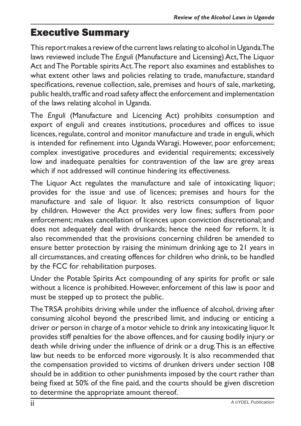# Executive Summary

This report makes a review of the current laws relating to alcohol in Uganda.The laws reviewed includeThe *Enguli* (Manufacture and Licensing) Act,The Liquor Act and The Portable spirits Act. The report also examines and establishes to what extent other laws and policies relating to trade, manufacture, standard specifications, revenue collection, sale, premises and hours of sale, marketing, public health, traffic and road safety affect the enforcement and implementation of the laws relating alcohol in Uganda.

The *Enguli* (Manufacture and Licencing Act) prohibits consumption and export of enguli and creates institutions, procedures and offices to issue licences, regulate, control and monitor manufacture and trade in enguli, which is intended for refinement into Uganda Waragi. However, poor enforcement; complex investigative procedures and evidential requirements; excessively low and inadequate penalties for contravention of the law are grey areas which if not addressed will continue hindering its effectiveness.

The Liquor Act regulates the manufacture and sale of intoxicating liquor; provides for the issue and use of licences; premises and hours for the manufacture and sale of liquor. It also restricts consumption of liquor by children. However the Act provides very low fines; suffers from poor enforcement; makes cancellation of licences upon conviction discretional; and does not adequately deal with drunkards; hence the need for reform. It is also recommended that the provisions concerning children be amended to ensure better protection by raising the minimum drinking age to 21 years in all circumstances, and creating offences for children who drink, to be handled by the FCC for rehabilitation purposes.

Under the Potable Spirits Act compounding of any spirits for profit or sale without a licence is prohibited. However, enforcement of this law is poor and must be stepped up to protect the public.

TheTRSA prohibits driving while under the influence of alcohol, driving after consuming alcohol beyond the prescribed limit, and inducing or enticing a driver or person in charge of a motor vehicle to drink any intoxicating liquor.It provides stiff penalties for the above offences, and for causing bodily injury or death while driving under the influence of drink or a drug.This is an effective law but needs to be enforced more vigorously. It is also recommended that the compensation provided to victims of drunken drivers under section 108 should be in addition to other punishments imposed by the court rather than being fixed at 50% of the fine paid, and the courts should be given discretion to determine the appropriate amount thereof.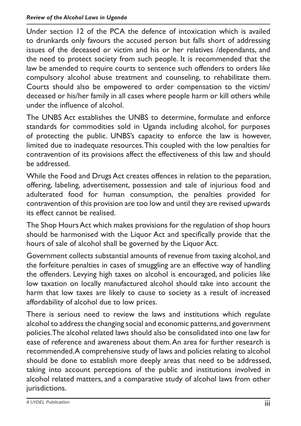Under section 12 of the PCA the defence of intoxication which is availed to drunkards only favours the accused person but falls short of addressing issues of the deceased or victim and his or her relatives /dependants, and the need to protect society from such people. It is recommended that the law be amended to require courts to sentence such offenders to orders like compulsory alcohol abuse treatment and counseling, to rehabilitate them. Courts should also be empowered to order compensation to the victim/ deceased or his/her family in all cases where people harm or kill others while under the influence of alcohol.

The UNBS Act establishes the UNBS to determine, formulate and enforce standards for commodities sold in Uganda including alcohol, for purposes of protecting the public. UNBS's capacity to enforce the law is however, limited due to inadequate resources.This coupled with the low penalties for contravention of its provisions affect the effectiveness of this law and should be addressed.

While the Food and Drugs Act creates offences in relation to the peparation, offering, labeling, advertisement, possession and sale of injurious food and adulterated food for human consumption, the penalties provided for contravention of this provision are too low and until they are revised upwards its effect cannot be realised.

The Shop Hours Act which makes provisions for the regulation of shop hours should be harmonised with the Liquor Act and specifically provide that the hours of sale of alcohol shall be governed by the Liquor Act.

Government collects substantial amounts of revenue from taxing alcohol, and the forfeiture penalties in cases of smuggling are an effective way of handling the offenders. Levying high taxes on alcohol is encouraged, and policies like low taxation on locally manufactured alcohol should take into account the harm that low taxes are likely to cause to society as a result of increased affordability of alcohol due to low prices.

There is serious need to review the laws and institutions which regulate alcohol to address the changing social and economic patterns,and government policies.The alcohol related laws should also be consolidated into one law for ease of reference and awareness about them.An area for further research is recommended.A comprehensive study of laws and policies relating to alcohol should be done to establish more deeply areas that need to be addressed, taking into account perceptions of the public and institutions involved in alcohol related matters, and a comparative study of alcohol laws from other jurisdictions.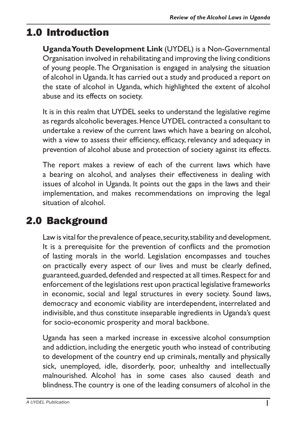# 1.0 Introduction

**Uganda Youth Development Link** (UYDEL) is a Non-Governmental Organisation involved in rehabilitating and improving the living conditions of young people.The Organisation is engaged in analysing the situation of alcohol in Uganda.It has carried out a study and produced a report on the state of alcohol in Uganda, which highlighted the extent of alcohol abuse and its effects on society.

It is in this realm that UYDEL seeks to understand the legislative regime as regards alcoholic beverages.Hence UYDEL contracted a consultant to undertake a review of the current laws which have a bearing on alcohol, with a view to assess their efficiency, efficacy, relevancy and adequacy in prevention of alcohol abuse and protection of society against its effects.

The report makes a review of each of the current laws which have a bearing on alcohol, and analyses their effectiveness in dealing with issues of alcohol in Uganda. It points out the gaps in the laws and their implementation, and makes recommendations on improving the legal situation of alcohol.

# 2.0 Background

Law is vital for the prevalence of peace, security, stability and development. It is a prerequisite for the prevention of conflicts and the promotion of lasting morals in the world. Legislation encompasses and touches on practically every aspect of our lives and must be clearly defined, guaranteed,guarded,defended and respected at all times.Respect for and enforcement of the legislations rest upon practical legislative frameworks in economic, social and legal structures in every society. Sound laws, democracy and economic viability are interdependent, interrelated and indivisible, and thus constitute inseparable ingredients in Uganda's quest for socio-economic prosperity and moral backbone.

Uganda has seen a marked increase in excessive alcohol consumption and addiction, including the energetic youth who instead of contributing to development of the country end up criminals, mentally and physically sick, unemployed, idle, disorderly, poor, unhealthy and intellectually malnourished. Alcohol has in some cases also caused death and blindness.The country is one of the leading consumers of alcohol in the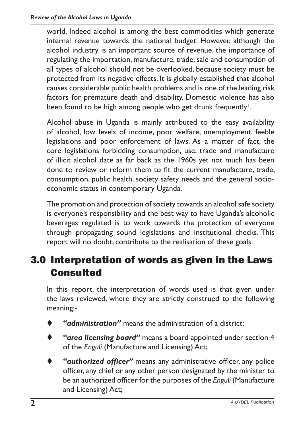world. Indeed alcohol is among the best commodities which generate internal revenue towards the national budget. However, although the alcohol industry is an important source of revenue, the importance of regulating the importation, manufacture, trade, sale and consumption of all types of alcohol should not be overlooked, because society must be protected from its negative effects. It is globally established that alcohol causes considerable public health problems and is one of the leading risk factors for premature death and disability. Domestic violence has also been found to be high among people who get drunk frequently $^{\mathsf{l}}.$ 

Alcohol abuse in Uganda is mainly attributed to the easy availability of alcohol, low levels of income, poor welfare, unemployment, feeble legislations and poor enforcement of laws. As a matter of fact, the core legislations forbidding consumption, use, trade and manufacture of illicit alcohol date as far back as the 1960s yet not much has been done to review or reform them to fit the current manufacture, trade, consumption, public health, society safety needs and the general socioeconomic status in contemporary Uganda.

The promotion and protection of society towards an alcohol safe society is everyone's responsibility and the best way to have Uganda's alcoholic beverages regulated is to work towards the protection of everyone through propagating sound legislations and institutional checks. This report will no doubt, contribute to the realisation of these goals.

# 3.0 Interpretation of words as given in the Laws Consulted

In this report, the interpretation of words used is that given under the laws reviewed, where they are strictly construed to the following meaning:-

- "*ddministration*" means the administration of a district:
- "area licensing board" means a board appointed under section 4 of the *Enguli* (Manufacture and Licensing) Act;
- "authorized officer" means any administrative officer, any police officer, any chief or any other person designated by the minister to be an authorized officer for the purposes of the *Enguli* (Manufacture and Licensing) Act;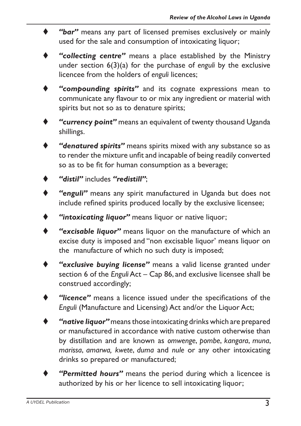- "bar" means any part of licensed premises exclusively or mainly used for the sale and consumption of intoxicating liquor;
- "collecting centre" means a place established by the Ministry under section 6(3)(a) for the purchase of *enguli* by the exclusive licencee from the holders of *enguli* licences;
- "compounding spirits" and its cognate expressions mean to communicate any flavour to or mix any ingredient or material with spirits but not so as to denature spirits;
- "**currency point**" means an equivalent of twenty thousand Uganda shillings.
- "denatured spirits" means spirits mixed with any substance so as to render the mixture unfit and incapable of being readily converted so as to be fit for human consumption as a beverage;
- "distil" includes "redistill":
- "enguli" means any spirit manufactured in Uganda but does not include refined spirits produced locally by the exclusive licensee;
- "intoxicating liquor" means liquor or native liquor;
- "excisable liquor" means liquor on the manufacture of which an excise duty is imposed and "non excisable liquor' means liquor on the manufacture of which no such duty is imposed;
- "exclusive buying license" means a valid license granted under section 6 of the *Enguli* Act – Cap 86, and exclusive licensee shall be construed accordingly;
- "licence" means a licence issued under the specifications of the *Enguli* (Manufacture and Licensing) Act and/or the Liquor Act;
- **"native liquor"** means those intoxicating drinks which are prepared or manufactured in accordance with native custom otherwise than by distillation and are known as *omwenge*, *pombe*, *kangara*, *muna*, *marissa*, *amarwa, kwete*, *duma* and *nule* or any other intoxicating drinks so prepared or manufactured;
- "Permitted hours" means the period during which a licencee is authorized by his or her licence to sell intoxicating liquor;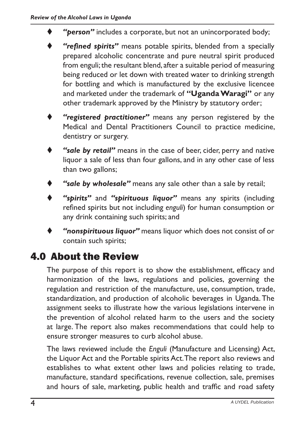- "person" includes a corporate, but not an unincorporated body;
- "refined spirits" means potable spirits, blended from a specially prepared alcoholic concentrate and pure neutral spirit produced from enguli; the resultant blend, after a suitable period of measuring being reduced or let down with treated water to drinking strength for bottling and which is manufactured by the exclusive licencee and marketed under the trademark of **"Uganda Waragi"** or any other trademark approved by the Ministry by statutory order;
- "registered practitioner" means any person registered by the Medical and Dental Practitioners Council to practice medicine, dentistry or surgery.
- "sale by retail" means in the case of beer, cider, perry and native liquor a sale of less than four gallons, and in any other case of less than two gallons;
- "sale by wholesale" means any sale other than a sale by retail;
- "spirits" and "spirituous liquor" means any spirits (including refined spirits but not including *enguli*) for human consumption or any drink containing such spirits; and
- "nonspirituous liquor" means liquor which does not consist of or contain such spirits;

# 4.0 About the Review

The purpose of this report is to show the establishment, efficacy and harmonization of the laws, regulations and policies, governing the regulation and restriction of the manufacture, use, consumption, trade, standardization, and production of alcoholic beverages in Uganda. The assignment seeks to illustrate how the various legislations intervene in the prevention of alcohol related harm to the users and the society at large. The report also makes recommendations that could help to ensure stronger measures to curb alcohol abuse.

The laws reviewed include the *Enguli* (Manufacture and Licensing) Act, the Liquor Act and the Portable spirits Act.The report also reviews and establishes to what extent other laws and policies relating to trade, manufacture, standard specifications, revenue collection, sale, premises and hours of sale, marketing, public health and traffic and road safety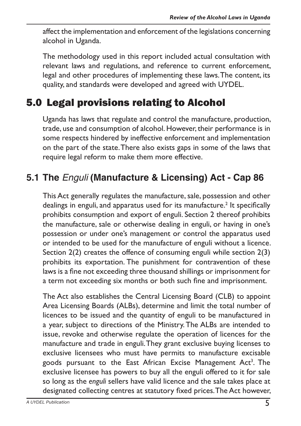affect the implementation and enforcement of the legislations concerning alcohol in Uganda.

The methodology used in this report included actual consultation with relevant laws and regulations, and reference to current enforcement, legal and other procedures of implementing these laws.The content, its quality, and standards were developed and agreed with UYDEL.

# 5.0 Legal provisions relating to Alcohol

Uganda has laws that regulate and control the manufacture, production, trade, use and consumption of alcohol. However, their performance is in some respects hindered by ineffective enforcement and implementation on the part of the state.There also exists gaps in some of the laws that require legal reform to make them more effective.

# **5.1 The** *Enguli* **(Manufacture & Licensing) Act - Cap 86**

This Act generally regulates the manufacture, sale, possession and other dealings in enguli, and apparatus used for its manufacture.<sup>2</sup> It specifically prohibits consumption and export of enguli. Section 2 thereof prohibits the manufacture, sale or otherwise dealing in enguli, or having in one's possession or under one's management or control the apparatus used or intended to be used for the manufacture of enguli without a licence. Section 2(2) creates the offence of consuming enguli while section 2(3) prohibits its exportation. The punishment for contravention of these laws is a fine not exceeding three thousand shillings or imprisonment for a term not exceeding six months or both such fine and imprisonment.

The Act also establishes the Central Licensing Board (CLB) to appoint Area Licensing Boards (ALBs), determine and limit the total number of licences to be issued and the quantity of enguli to be manufactured in a year, subject to directions of the Ministry.The ALBs are intended to issue, revoke and otherwise regulate the operation of licences for the manufacture and trade in enguli.They grant exclusive buying licenses to exclusive licensees who must have permits to manufacture excisable goods pursuant to the East African Excise Management Act<sup>3</sup>. The exclusive licensee has powers to buy all the enguli offered to it for sale so long as the *enguli* sellers have valid licence and the sale takes place at designated collecting centres at statutory fixed prices.The Act however,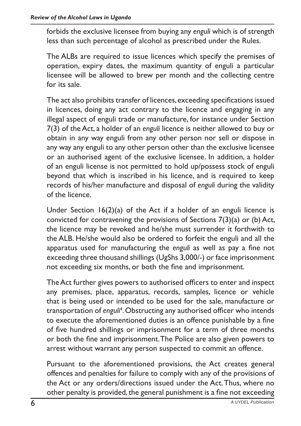forbids the exclusive licensee from buying any *enguli* which is of strength less than such percentage of alcohol as prescribed under the Rules.

The ALBs are required to issue licences which specify the premises of operation, expiry dates, the maximum quantity of enguli a particular licensee will be allowed to brew per month and the collecting centre for its sale.

The act also prohibits transfer of licences, exceeding specifications issued in licences, doing any act contrary to the licence and engaging in any illegal aspect of enguli trade or manufacture, for instance under Section 7(3) of the Act, a holder of an *enguli* licence is neither allowed to buy or obtain in any way enguli from any other person nor sell or dispose in any way any enguli to any other person other than the exclusive licensee or an authorised agent of the exclusive licensee. In addition, a holder of an enguli license is not permitted to hold up/possess stock of enguli beyond that which is inscribed in his licence, and is required to keep records of his/her manufacture and disposal of *enguli* during the validity of the licence.

Under Section 16(2)(a) of the Act if a holder of an enguli licence is convicted for contravening the provisions of Sections 7(3)(a) or (b) Act, the licence may be revoked and he/she must surrender it forthwith to the ALB. He/she would also be ordered to forfeit the enguli and all the apparatus used for manufacturing the *enguli* as well as pay a fine not exceeding three thousand shillings (UgShs 3,000/-) or face imprisonment not exceeding six months, or both the fine and imprisonment.

TheAct further gives powers to authorised officers to enter and inspect any premises, place, apparatus, records, samples, licence or vehicle that is being used or intended to be used for the sale, manufacture or transportation of *enguli*<sup>4</sup> .Obstructing any authorised officer who intends to execute the aforementioned duties is an offence punishable by a fine of five hundred shillings or imprisonment for a term of three months or both the fine and imprisonment.The Police are also given powers to arrest without warrant any person suspected to commit an offence.

Pursuant to the aforementioned provisions, the Act creates general offences and penalties for failure to comply with any of the provisions of the Act or any orders/directions issued under the Act.Thus, where no other penalty is provided, the general punishment is a fine not exceeding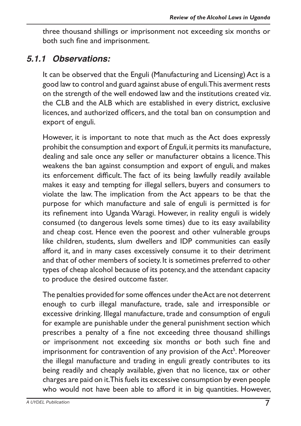three thousand shillings or imprisonment not exceeding six months or both such fine and imprisonment.

#### *5.1.1 Observations:*

It can be observed that the Enguli (Manufacturing and Licensing) Act is a good law to control and guard against abuse of enguli.This averment rests on the strength of the well endowed law and the institutions created viz. the CLB and the ALB which are established in every district, exclusive licences, and authorized officers, and the total ban on consumption and export of enguli.

However, it is important to note that much as the Act does expressly prohibit the consumption and export of *Enguli*, it permits its manufacture, dealing and sale once any seller or manufacturer obtains a licence.This weakens the ban against consumption and export of enguli, and makes its enforcement difficult. The fact of its being lawfully readily available makes it easy and tempting for illegal sellers, buyers and consumers to violate the law. The implication from the Act appears to be that the purpose for which manufacture and sale of enguli is permitted is for its refinement into Uganda Waragi. However, in reality enguli is widely consumed (to dangerous levels some times) due to its easy availability and cheap cost. Hence even the poorest and other vulnerable groups like children, students, slum dwellers and IDP communities can easily afford it, and in many cases excessively consume it to their detriment and that of other members of society. It is sometimes preferred to other types of cheap alcohol because of its potency, and the attendant capacity to produce the desired outcome faster.

The penalties provided for some offences under the Act are not deterrent enough to curb illegal manufacture, trade, sale and irresponsible or excessive drinking. Illegal manufacture, trade and consumption of enguli for example are punishable under the general punishment section which prescribes a penalty of a fine not exceeding three thousand shillings or imprisonment not exceeding six months or both such fine and imprisonment for contravention of any provision of the Act<sup>5</sup>. Moreover the illegal manufacture and trading in enguli greatly contributes to its being readily and cheaply available, given that no licence, tax or other charges are paid on it. This fuels its excessive consumption by even people who would not have been able to afford it in big quantities. However,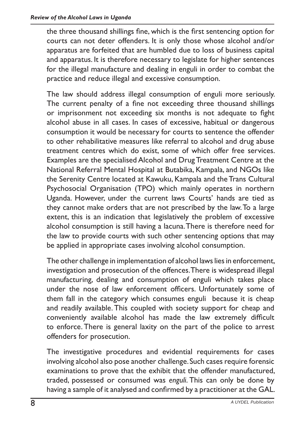the three thousand shillings fine, which is the first sentencing option for courts can not deter offenders. It is only those whose alcohol and/or apparatus are forfeited that are humbled due to loss of business capital and apparatus. It is therefore necessary to legislate for higher sentences for the illegal manufacture and dealing in enguli in order to combat the practice and reduce illegal and excessive consumption.

The law should address illegal consumption of enguli more seriously. The current penalty of a fine not exceeding three thousand shillings or imprisonment not exceeding six months is not adequate to fight alcohol abuse in all cases. In cases of excessive, habitual or dangerous consumption it would be necessary for courts to sentence the offender to other rehabilitative measures like referral to alcohol and drug abuse treatment centres which do exist, some of which offer free services. Examples are the specialised Alcohol and DrugTreatment Centre at the National Referral Mental Hospital at Butabika, Kampala, and NGOs like the Serenity Centre located at Kawuku, Kampala and the Trans Cultural Psychosocial Organisation (TPO) which mainly operates in northern Uganda. However, under the current laws Courts' hands are tied as they cannot make orders that are not prescribed by the law.To a large extent, this is an indication that legislatively the problem of excessive alcohol consumption is still having a lacuna.There is therefore need for the law to provide courts with such other sentencing options that may be applied in appropriate cases involving alcohol consumption.

The other challenge in implementation of alcohol laws lies in enforcement, investigation and prosecution of the offences.There is widespread illegal manufacturing, dealing and consumption of enguli which takes place under the nose of law enforcement officers. Unfortunately some of them fall in the category which consumes enguli because it is cheap and readily available. This coupled with society support for cheap and conveniently available alcohol has made the law extremely difficult to enforce. There is general laxity on the part of the police to arrest offenders for prosecution.

The investigative procedures and evidential requirements for cases involving alcohol also pose another challenge.Such cases require forensic examinations to prove that the exhibit that the offender manufactured, traded, possessed or consumed was *enguli*. This can only be done by having a sample of it analysed and confirmed by a practitioner at the GAL.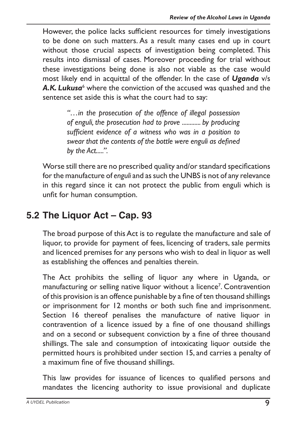However, the police lacks sufficient resources for timely investigations to be done on such matters. As a result many cases end up in court without those crucial aspects of investigation being completed. This results into dismissal of cases. Moreover proceeding for trial without these investigations being done is also not viable as the case would most likely end in acquittal of the offender. In the case of *Uganda* v/s A.K. Lukusa<sup>6</sup> where the conviction of the accused was quashed and the sentence set aside this is what the court had to say:

> *"…in the prosecution of the offence of illegal possession of enguli, the prosecution had to prove ............ by producing sufficient evidence of a witness who was in a position to swear that the contents of the bottle were enguli as defined by the Act.....".*

Worse still there are no prescribed quality and/or standard specifications for the manufacture of *enguli* and as such the UNBS is not of any relevance in this regard since it can not protect the public from enguli which is unfit for human consumption.

### **5.2 The Liquor Act – Cap. 93**

The broad purpose of this Act is to regulate the manufacture and sale of liquor, to provide for payment of fees, licencing of traders, sale permits and licenced premises for any persons who wish to deal in liquor as well as establishing the offences and penalties therein.

The Act prohibits the selling of liquor any where in Uganda, or manufacturing or selling native liquor without a licence<sup>7</sup>. Contravention of this provision is an offence punishable by a fine of ten thousand shillings or imprisonment for 12 months or both such fine and imprisonment. Section 16 thereof penalises the manufacture of native liquor in contravention of a licence issued by a fine of one thousand shillings and on a second or subsequent conviction by a fine of three thousand shillings. The sale and consumption of intoxicating liquor outside the permitted hours is prohibited under section 15, and carries a penalty of a maximum fine of five thousand shillings.

This law provides for issuance of licences to qualified persons and mandates the licencing authority to issue provisional and duplicate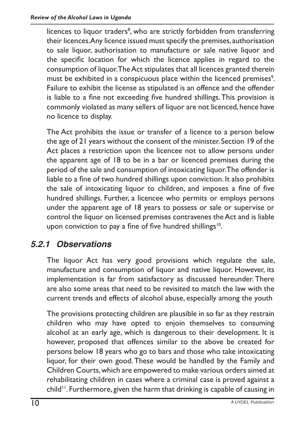licences to liquor traders<sup>8</sup>, who are strictly forbidden from transferring their licences.Any licence issued must specify the premises, authorisation to sale liquor, authorisation to manufacture or sale native liquor and the specific location for which the licence applies in regard to the consumption of liquor.TheAct stipulates that all licences granted therein must be exhibited in a conspicuous place within the licenced premises $^{\circ}$ . Failure to exhibit the license as stipulated is an offence and the offender is liable to a fine not exceeding five hundred shillings.This provision is commonly violated as many sellers of liquor are not licenced, hence have no licence to display.

The Act prohibits the issue or transfer of a licence to a person below the age of 21 years without the consent of the minister. Section 19 of the Act places a restriction upon the licencee not to allow persons under the apparent age of 18 to be in a bar or licenced premises during the period of the sale and consumption of intoxicating liquor.The offender is liable to a fine of two hundred shillings upon conviction. It also prohibits the sale of intoxicating liquor to children, and imposes a fine of five hundred shillings. Further, a licencee who permits or employs persons under the apparent age of 18 years to possess or sale or supervise or control the liquor on licensed premises contravenes theAct and is liable upon conviction to pay a fine of five hundred shillings<sup>10</sup>.

#### *5.2.1 Observations*

The liquor Act has very good provisions which regulate the sale, manufacture and consumption of liquor and native liquor. However, its implementation is far from satisfactory as discussed hereunder. There are also some areas that need to be revisited to match the law with the current trends and effects of alcohol abuse, especially among the youth

The provisions protecting children are plausible in so far as they restrain children who may have opted to enjoin themselves to consuming alcohol at an early age, which is dangerous to their development. It is however, proposed that offences similar to the above be created for persons below 18 years who go to bars and those who take intoxicating liquor, for their own good.These would be handled by the Family and Children Courts,which are empowered to make various orders aimed at rehabilitating children in cases where a criminal case is proved against a child<sup>11</sup>. Furthermore, given the harm that drinking is capable of causing in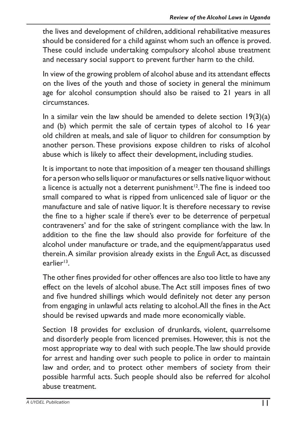the lives and development of children, additional rehabilitative measures should be considered for a child against whom such an offence is proved. These could include undertaking compulsory alcohol abuse treatment and necessary social support to prevent further harm to the child.

In view of the growing problem of alcohol abuse and its attendant effects on the lives of the youth and those of society in general the minimum age for alcohol consumption should also be raised to 21 years in all circumstances.

In a similar vein the law should be amended to delete section  $19(3)(a)$ and (b) which permit the sale of certain types of alcohol to 16 year old children at meals, and sale of liquor to children for consumption by another person. These provisions expose children to risks of alcohol abuse which is likely to affect their development, including studies.

It is important to note that imposition of a meager ten thousand shillings for a person who sells liquor or manufactures or sells native liquor without a licence is actually not a deterrent punishment<sup>12</sup>. The fine is indeed too small compared to what is ripped from unlicenced sale of liquor or the manufacture and sale of native liquor. It is therefore necessary to revise the fine to a higher scale if there's ever to be deterrence of perpetual contraveners' and for the sake of stringent compliance with the law. In addition to the fine the law should also provide for forfeiture of the alcohol under manufacture or trade, and the equipment/apparatus used therein.A similar provision already exists in the *Enguli* Act, as discussed earlier13.

The other fines provided for other offences are also too little to have any effect on the levels of alcohol abuse.The Act still imposes fines of two and five hundred shillings which would definitely not deter any person from engaging in unlawful acts relating to alcohol.All the fines in the Act should be revised upwards and made more economically viable.

Section 18 provides for exclusion of drunkards, violent, quarrelsome and disorderly people from licenced premises. However, this is not the most appropriate way to deal with such people.The law should provide for arrest and handing over such people to police in order to maintain law and order, and to protect other members of society from their possible harmful acts. Such people should also be referred for alcohol abuse treatment.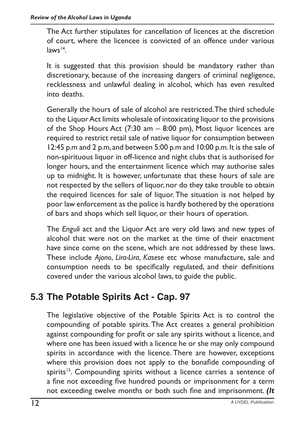The Act further stipulates for cancellation of licences at the discretion of court, where the licencee is convicted of an offence under various  $law<sup>14</sup>$ 

It is suggested that this provision should be mandatory rather than discretionary, because of the increasing dangers of criminal negligence, recklessness and unlawful dealing in alcohol, which has even resulted into deaths.

Generally the hours of sale of alcohol are restricted.The third schedule to the Liquor Act limits wholesale of intoxicating liquor to the provisions of the Shop Hours Act (7:30 am – 8:00 pm), Most liquor licences are required to restrict retail sale of native liquor for consumption between 12:45 p.m and 2 p.m, and between 5:00 p.m and 10:00 p.m.It is the sale of non-spirituous liquor in off-licence and night clubs that is authorised for longer hours, and the entertainment licence which may authorise sales up to midnight. It is however, unfortunate that these hours of sale are not respected by the sellers of liquor, nor do they take trouble to obtain the required licences for sale of liquor. The situation is not helped by poor law enforcement as the police is hardly bothered by the operations of bars and shops which sell liquor, or their hours of operation.

The *Enguli* act and the Liquor Act are very old laws and new types of alcohol that were not on the market at the time of their enactment have since come on the scene, which are not addressed by these laws. These include *Ajono*, *Lira-Lira*, *Kasese* etc whose manufacture, sale and consumption needs to be specifically regulated, and their definitions covered under the various alcohol laws, to guide the public.

#### **5.3 The Potable Spirits Act - Cap. 97**

The legislative objective of the Potable Spirits Act is to control the compounding of potable spirits. The Act creates a general prohibition against compounding for profit or sale any spirits without a licence, and where one has been issued with a licence he or she may only compound spirits in accordance with the licence. There are however, exceptions where this provision does not apply to the bonafide compounding of spirits<sup>15</sup>. Compounding spirits without a licence carries a sentence of a fine not exceeding five hundred pounds or imprisonment for a term not exceeding twelve months or both such fine and imprisonment. *(It*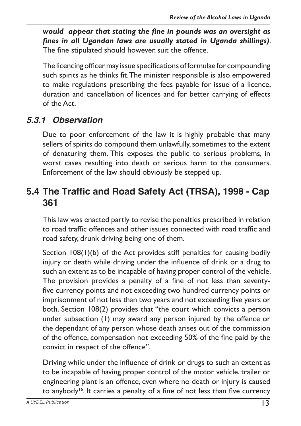*would appear that stating the fine in pounds was an oversight as fines in all Ugandan laws are usually stated in Uganda shillings)*. The fine stipulated should however, suit the offence.

The licencing officer may issue specifications of formulae for compounding such spirits as he thinks fit.The minister responsible is also empowered to make regulations prescribing the fees payable for issue of a licence, duration and cancellation of licences and for better carrying of effects of the Act.

#### *5.3.1 Observation*

Due to poor enforcement of the law it is highly probable that many sellers of spirits do compound them unlawfully, sometimes to the extent of denaturing them. This exposes the public to serious problems, in worst cases resulting into death or serious harm to the consumers. Enforcement of the law should obviously be stepped up.

#### **5.4 The Traffic and Road Safety Act (TRSA), 1998 - Cap 361**

This law was enacted partly to revise the penalties prescribed in relation to road traffic offences and other issues connected with road traffic and road safety, drunk driving being one of them.

Section 108(1)(b) of the Act provides stiff penalties for causing bodily injury or death while driving under the influence of drink or a drug to such an extent as to be incapable of having proper control of the vehicle. The provision provides a penalty of a fine of not less than seventyfive currency points and not exceeding two hundred currency points or imprisonment of not less than two years and not exceeding five years or both. Section 108(2) provides that "the court which convicts a person under subsection (1) may award any person injured by the offence or the dependant of any person whose death arises out of the commission of the offence, compensation not exceeding 50% of the fine paid by the convict in respect of the offence".

Driving while under the influence of drink or drugs to such an extent as to be incapable of having proper control of the motor vehicle, trailer or engineering plant is an offence, even where no death or injury is caused to anybody<sup>16</sup>. It carries a penalty of a fine of not less than five currency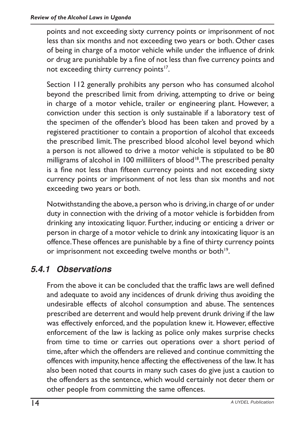points and not exceeding sixty currency points or imprisonment of not less than six months and not exceeding two years or both. Other cases of being in charge of a motor vehicle while under the influence of drink or drug are punishable by a fine of not less than five currency points and not exceeding thirty currency points<sup>17</sup>.

Section 112 generally prohibits any person who has consumed alcohol beyond the prescribed limit from driving, attempting to drive or being in charge of a motor vehicle, trailer or engineering plant. However, a conviction under this section is only sustainable if a laboratory test of the specimen of the offender's blood has been taken and proved by a registered practitioner to contain a proportion of alcohol that exceeds the prescribed limit.The prescribed blood alcohol level beyond which a person is not allowed to drive a motor vehicle is stipulated to be 80 milligrams of alcohol in 100 milliliters of blood<sup>18</sup>. The prescribed penalty is a fine not less than fifteen currency points and not exceeding sixty currency points or imprisonment of not less than six months and not exceeding two years or both.

Notwithstanding the above, a person who is driving, in charge of or under duty in connection with the driving of a motor vehicle is forbidden from drinking any intoxicating liquor. Further, inducing or enticing a driver or person in charge of a motor vehicle to drink any intoxicating liquor is an offence.These offences are punishable by a fine of thirty currency points or imprisonment not exceeding twelve months or both<sup>19</sup>.

#### *5.4.1 Observations*

From the above it can be concluded that the traffic laws are well defined and adequate to avoid any incidences of drunk driving thus avoiding the undesirable effects of alcohol consumption and abuse. The sentences prescribed are deterrent and would help prevent drunk driving if the law was effectively enforced, and the population knew it. However, effective enforcement of the law is lacking as police only makes surprise checks from time to time or carries out operations over a short period of time, after which the offenders are relieved and continue committing the offences with impunity, hence affecting the effectiveness of the law. It has also been noted that courts in many such cases do give just a caution to the offenders as the sentence, which would certainly not deter them or other people from committing the same offences.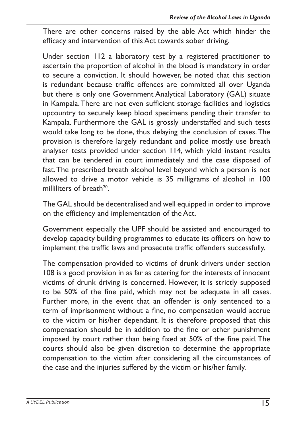There are other concerns raised by the able Act which hinder the efficacy and intervention of this Act towards sober driving.

Under section 112 a laboratory test by a registered practitioner to ascertain the proportion of alcohol in the blood is mandatory in order to secure a conviction. It should however, be noted that this section is redundant because traffic offences are committed all over Uganda but there is only one Government Analytical Laboratory (GAL) situate in Kampala.There are not even sufficient storage facilities and logistics upcountry to securely keep blood specimens pending their transfer to Kampala. Furthermore the GAL is grossly understaffed and such tests would take long to be done, thus delaying the conclusion of cases.The provision is therefore largely redundant and police mostly use breath analyser tests provided under section 114, which yield instant results that can be tendered in court immediately and the case disposed of fast.The prescribed breath alcohol level beyond which a person is not allowed to drive a motor vehicle is 35 milligrams of alcohol in 100 milliliters of breath<sup>20</sup>.

The GAL should be decentralised and well equipped in order to improve on the efficiency and implementation of the Act.

Government especially the UPF should be assisted and encouraged to develop capacity building programmes to educate its officers on how to implement the traffic laws and prosecute traffic offenders successfully.

The compensation provided to victims of drunk drivers under section 108 is a good provision in as far as catering for the interests of innocent victims of drunk driving is concerned. However, it is strictly supposed to be 50% of the fine paid, which may not be adequate in all cases. Further more, in the event that an offender is only sentenced to a term of imprisonment without a fine, no compensation would accrue to the victim or his/her dependant. It is therefore proposed that this compensation should be in addition to the fine or other punishment imposed by court rather than being fixed at 50% of the fine paid.The courts should also be given discretion to determine the appropriate compensation to the victim after considering all the circumstances of the case and the injuries suffered by the victim or his/her family.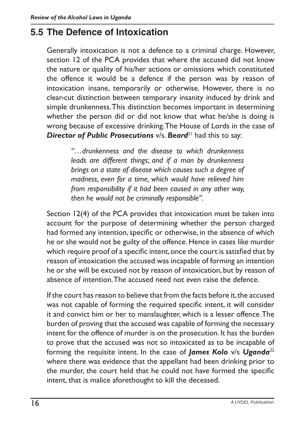#### **5.5 The Defence of Intoxication**

Generally intoxication is not a defence to a criminal charge. However, section 12 of the PCA provides that where the accused did not know the nature or quality of his/her actions or omissions which constituted the offence it would be a defence if the person was by reason of intoxication insane, temporarily or otherwise. However, there is no clear-cut distinction between temporary insanity induced by drink and simple drunkenness.This distinction becomes important in determining whether the person did or did not know that what he/she is doing is wrong because of excessive drinking.The House of Lords in the case of **Director of Public Prosecutions**  $v/s$ . **Beard**<sup>21</sup> had this to say:

> *"…drunkenness and the disease to which drunkenness leads are different things; and if a man by drunkenness brings on a state of disease which causes such a degree of madness, even for a time, which would have relieved him from responsibility if it had been caused in any other way, then he would not be criminally responsible".*

Section 12(4) of the PCA provides that intoxication must be taken into account for the purpose of determining whether the person charged had formed any intention, specific or otherwise, in the absence of which he or she would not be guilty of the offence. Hence in cases like murder which require proof of a specific intent, once the court is satisfied that by reason of intoxication the accused was incapable of forming an intention he or she will be excused not by reason of intoxication, but by reason of absence of intention.The accused need not even raise the defence.

If the court has reason to believe that from the facts before it, the accused was not capable of forming the required specific intent, it will consider it and convict him or her to manslaughter, which is a lesser offence.The burden of proving that the accused was capable of forming the necessary intent for the offence of murder is on the prosecution. It has the burden to prove that the accused was not so intoxicated as to be incapable of forming the requisite intent. In the case of *James Kolo* v/s *Uganda*<sup>22</sup> where there was evidence that the appellant had been drinking prior to the murder, the court held that he could not have formed the specific intent, that is malice aforethought to kill the deceased.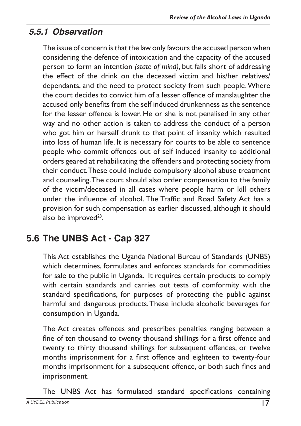#### *5.5.1 Observation*

The issue of concern is that the law only favours the accused person when considering the defence of intoxication and the capacity of the accused person to form an intention *(state of mind)*, but falls short of addressing the effect of the drink on the deceased victim and his/her relatives/ dependants, and the need to protect society from such people.Where the court decides to convict him of a lesser offence of manslaughter the accused only benefits from the self induced drunkenness as the sentence for the lesser offence is lower. He or she is not penalised in any other way and no other action is taken to address the conduct of a person who got him or herself drunk to that point of insanity which resulted into loss of human life. It is necessary for courts to be able to sentence people who commit offences out of self induced insanity to additional orders geared at rehabilitating the offenders and protecting society from their conduct.These could include compulsory alcohol abuse treatment and counseling.The court should also order compensation to the family of the victim/deceased in all cases where people harm or kill others under the influence of alcohol. The Traffic and Road Safety Act has a provision for such compensation as earlier discussed, although it should also be improved<sup>23</sup>.

## **5.6 The UNBS Act - Cap 327**

This Act establishes the Uganda National Bureau of Standards (UNBS) which determines, formulates and enforces standards for commodities for sale to the public in Uganda. It requires certain products to comply with certain standards and carries out tests of comformity with the standard specifications, for purposes of protecting the public against harmful and dangerous products.These include alcoholic beverages for consumption in Uganda.

The Act creates offences and prescribes penalties ranging between a fine of ten thousand to twenty thousand shillings for a first offence and twenty to thirty thousand shillings for subsequent offences, or twelve months imprisonment for a first offence and eighteen to twenty-four months imprisonment for a subsequent offence, or both such fines and imprisonment.

The UNBS Act has formulated standard specifications containing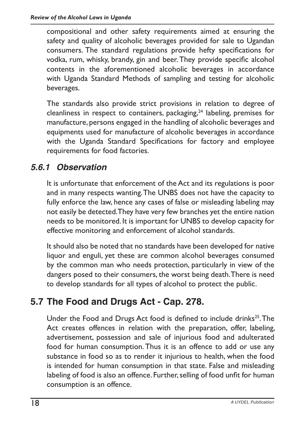compositional and other safety requirements aimed at ensuring the safety and quality of alcoholic beverages provided for sale to Ugandan consumers. The standard regulations provide hefty specifications for vodka, rum, whisky, brandy, gin and beer.They provide specific alcohol contents in the aforementioned alcoholic beverages in accordance with Uganda Standard Methods of sampling and testing for alcoholic beverages.

The standards also provide strict provisions in relation to degree of cleanliness in respect to containers, packaging, $24$  labeling, premises for manufacture, persons engaged in the handling of alcoholic beverages and equipments used for manufacture of alcoholic beverages in accordance with the Uganda Standard Specifications for factory and employee requirements for food factories.

#### *5.6.1 Observation*

It is unfortunate that enforcement of the Act and its regulations is poor and in many respects wanting.The UNBS does not have the capacity to fully enforce the law, hence any cases of false or misleading labeling may not easily be detected.They have very few branches yet the entire nation needs to be monitored. It is important for UNBS to develop capacity for effective monitoring and enforcement of alcohol standards.

It should also be noted that no standards have been developed for native liquor and enguli, yet these are common alcohol beverages consumed by the common man who needs protection, particularly in view of the dangers posed to their consumers, the worst being death. There is need to develop standards for all types of alcohol to protect the public.

#### **5.7 The Food and Drugs Act - Cap. 278.**

Under the Food and Drugs Act food is defined to include drinks<sup>25</sup>. The Act creates offences in relation with the preparation, offer, labeling, advertisement, possession and sale of injurious food and adulterated food for human consumption.Thus it is an offence to add or use any substance in food so as to render it injurious to health, when the food is intended for human consumption in that state. False and misleading labeling of food is also an offence. Further, selling of food unfit for human consumption is an offence.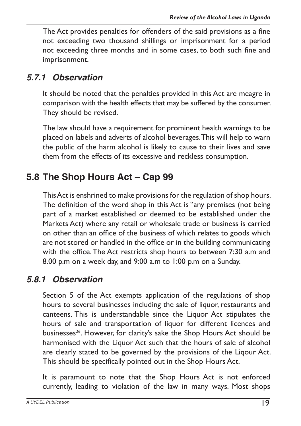The Act provides penalties for offenders of the said provisions as a fine not exceeding two thousand shillings or imprisonment for a period not exceeding three months and in some cases, to both such fine and imprisonment.

#### *5.7.1 Observation*

It should be noted that the penalties provided in this Act are meagre in comparison with the health effects that may be suffered by the consumer. They should be revised.

The law should have a requirement for prominent health warnings to be placed on labels and adverts of alcohol beverages.This will help to warn the public of the harm alcohol is likely to cause to their lives and save them from the effects of its excessive and reckless consumption.

### **5.8 The Shop Hours Act – Cap 99**

ThisAct is enshrined to make provisions for the regulation of shop hours. The definition of the word shop in this Act is "any premises (not being part of a market established or deemed to be established under the Markets Act) where any retail or wholesale trade or business is carried on other than an office of the business of which relates to goods which are not stored or handled in the office or in the building communicating with the office.The Act restricts shop hours to between 7:30 a.m and 8.00 p.m on a week day, and 9:00 a.m to 1:00 p.m on a Sunday.

#### *5.8.1 Observation*

Section 5 of the Act exempts application of the regulations of shop hours to several businesses including the sale of liquor, restaurants and canteens. This is understandable since the Liquor Act stipulates the hours of sale and transportation of liquor for different licences and businesses<sup>26</sup>. However, for clarity's sake the Shop Hours Act should be harmonised with the Liquor Act such that the hours of sale of alcohol are clearly stated to be governed by the provisions of the Liqour Act. This should be specifically pointed out in the Shop Hours Act.

It is paramount to note that the Shop Hours Act is not enforced currently, leading to violation of the law in many ways. Most shops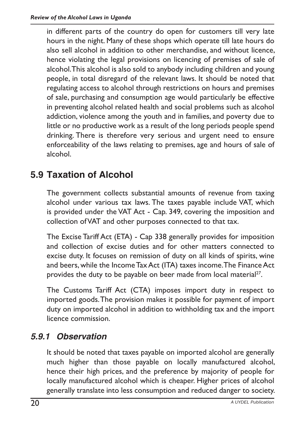in different parts of the country do open for customers till very late hours in the night. Many of these shops which operate till late hours do also sell alcohol in addition to other merchandise, and without licence, hence violating the legal provisions on licencing of premises of sale of alcohol.This alcohol is also sold to anybody including children and young people, in total disregard of the relevant laws. It should be noted that regulating access to alcohol through restrictions on hours and premises of sale, purchasing and consumption age would particularly be effective in preventing alcohol related health and social problems such as alcohol addiction, violence among the youth and in families, and poverty due to little or no productive work as a result of the long periods people spend drinking. There is therefore very serious and urgent need to ensure enforceability of the laws relating to premises, age and hours of sale of alcohol.

#### **5.9 Taxation of Alcohol**

The government collects substantial amounts of revenue from taxing alcohol under various tax laws. The taxes payable include VAT, which is provided under the VAT Act - Cap. 349, covering the imposition and collection ofVAT and other purposes connected to that tax.

The Excise Tariff Act (ETA) - Cap 338 generally provides for imposition and collection of excise duties and for other matters connected to excise duty. It focuses on remission of duty on all kinds of spirits, wine and beers, while the Income Tax Act (ITA) taxes income. The Finance Act provides the duty to be payable on beer made from local material<sup>27</sup>.

The Customs Tariff Act (CTA) imposes import duty in respect to imported goods.The provision makes it possible for payment of import duty on imported alcohol in addition to withholding tax and the import licence commission.

#### *5.9.1 Observation*

It should be noted that taxes payable on imported alcohol are generally much higher than those payable on locally manufactured alcohol, hence their high prices, and the preference by majority of people for locally manufactured alcohol which is cheaper. Higher prices of alcohol generally translate into less consumption and reduced danger to society.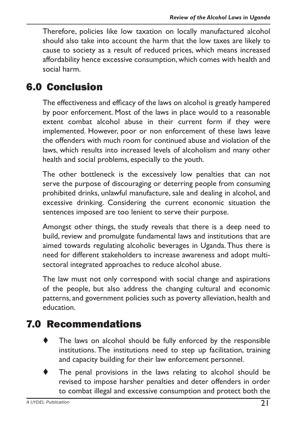Therefore, policies like low taxation on locally manufactured alcohol should also take into account the harm that the low taxes are likely to cause to society as a result of reduced prices, which means increased affordability hence excessive consumption,which comes with health and social harm.

# 6.0 Conclusion

The effectiveness and efficacy of the laws on alcohol is greatly hampered by poor enforcement. Most of the laws in place would to a reasonable extent combat alcohol abuse in their current form if they were implemented. However, poor or non enforcement of these laws leave the offenders with much room for continued abuse and violation of the laws, which results into increased levels of alcoholism and many other health and social problems, especially to the youth.

The other bottleneck is the excessively low penalties that can not serve the purpose of discouraging or deterring people from consuming prohibited drinks, unlawful manufacture, sale and dealing in alcohol, and excessive drinking. Considering the current economic situation the sentences imposed are too lenient to serve their purpose.

Amongst other things, the study reveals that there is a deep need to build, review and promulgate fundamental laws and institutions that are aimed towards regulating alcoholic beverages in Uganda.Thus there is need for different stakeholders to increase awareness and adopt multisectoral integrated approaches to reduce alcohol abuse.

The law must not only correspond with social change and aspirations of the people, but also address the changing cultural and economic patterns, and government policies such as poverty alleviation, health and education.

# 7.0 Recommendations

- The laws on alcohol should be fully enforced by the responsible institutions. The institutions need to step up facilitation, training and capacity building for their law enforcement personnel.
- The penal provisions in the laws relating to alcohol should be revised to impose harsher penalties and deter offenders in order to combat illegal and excessive consumption and protect both the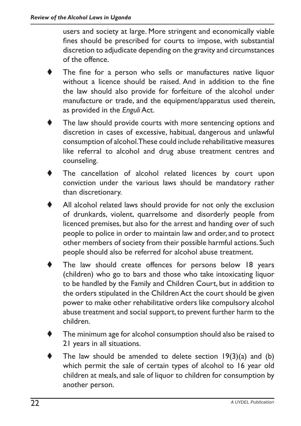users and society at large. More stringent and economically viable fines should be prescribed for courts to impose, with substantial discretion to adjudicate depending on the gravity and circumstances of the offence.

- The fine for a person who sells or manufactures native liquor without a licence should be raised. And in addition to the fine the law should also provide for forfeiture of the alcohol under manufacture or trade, and the equipment/apparatus used therein, as provided in the *Enguli* Act.
- The law should provide courts with more sentencing options and discretion in cases of excessive, habitual, dangerous and unlawful consumption of alcohol.These could include rehabilitative measures like referral to alcohol and drug abuse treatment centres and counseling.
- The cancellation of alcohol related licences by court upon conviction under the various laws should be mandatory rather than discretionary.
- All alcohol related laws should provide for not only the exclusion of drunkards, violent, quarrelsome and disorderly people from licenced premises, but also for the arrest and handing over of such people to police in order to maintain law and order, and to protect other members of society from their possible harmful actions. Such people should also be referred for alcohol abuse treatment.
- The law should create offences for persons below 18 years (children) who go to bars and those who take intoxicating liquor to be handled by the Family and Children Court, but in addition to the orders stipulated in the Children Act the court should be given power to make other rehabilitative orders like compulsory alcohol abuse treatment and social support, to prevent further harm to the children.
- The minimum age for alcohol consumption should also be raised to 21 years in all situations.
- The law should be amended to delete section  $19(3)(a)$  and (b) which permit the sale of certain types of alcohol to 16 year old children at meals, and sale of liquor to children for consumption by another person.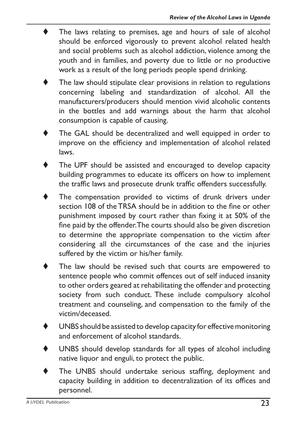- The laws relating to premises, age and hours of sale of alcohol should be enforced vigorously to prevent alcohol related health and social problems such as alcohol addiction, violence among the youth and in families, and poverty due to little or no productive work as a result of the long periods people spend drinking.
- The law should stipulate clear provisions in relation to regulations concerning labeling and standardization of alcohol. All the manufacturers/producers should mention vivid alcoholic contents in the bottles and add warnings about the harm that alcohol consumption is capable of causing.
- The GAL should be decentralized and well equipped in order to improve on the efficiency and implementation of alcohol related laws.
- The UPF should be assisted and encouraged to develop capacity building programmes to educate its officers on how to implement the traffic laws and prosecute drunk traffic offenders successfully.
- The compensation provided to victims of drunk drivers under section 108 of theTRSA should be in addition to the fine or other punishment imposed by court rather than fixing it at 50% of the fine paid by the offender.The courts should also be given discretion to determine the appropriate compensation to the victim after considering all the circumstances of the case and the injuries suffered by the victim or his/her family.
- The law should be revised such that courts are empowered to sentence people who commit offences out of self induced insanity to other orders geared at rehabilitating the offender and protecting society from such conduct. These include compulsory alcohol treatment and counseling, and compensation to the family of the victim/deceased.
- UNBS should be assisted to develop capacity for effective monitoring and enforcement of alcohol standards.
- UNBS should develop standards for all types of alcohol including native liquor and enguli, to protect the public.
- The UNBS should undertake serious staffing, deployment and capacity building in addition to decentralization of its offices and personnel.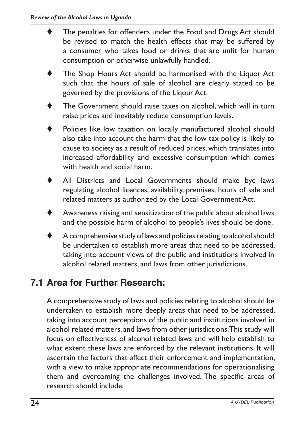- The penalties for offenders under the Food and Drugs Act should be revised to match the health effects that may be suffered by a consumer who takes food or drinks that are unfit for human consumption or otherwise unlawfully handled.
- The Shop Hours Act should be harmonised with the Liquor Act such that the hours of sale of alcohol are clearly stated to be governed by the provisions of the Liqour Act.
- The Government should raise taxes on alcohol, which will in turn raise prices and inevitably reduce consumption levels.
- Policies like low taxation on locally manufactured alcohol should also take into account the harm that the low tax policy is likely to cause to society as a result of reduced prices, which translates into increased affordability and excessive consumption which comes with health and social harm.
- All Districts and Local Governments should make bye laws regulating alcohol licences, availability, premises, hours of sale and related matters as authorized by the Local Government Act.
- Awareness raising and sensitization of the public about alcohol laws and the possible harm of alcohol to people's lives should be done.
- A comprehensive study of laws and policies relating to alcohol should be undertaken to establish more areas that need to be addressed, taking into account views of the public and institutions involved in alcohol related matters, and laws from other jurisdictions.

#### **7.1 Area for Further Research:**

A comprehensive study of laws and policies relating to alcohol should be undertaken to establish more deeply areas that need to be addressed, taking into account perceptions of the public and institutions involved in alcohol related matters, and laws from other jurisdictions.This study will focus on effectiveness of alcohol related laws and will help establish to what extent these laws are enforced by the relevant institutions. It will ascertain the factors that affect their enforcement and implementation, with a view to make appropriate recommendations for operationalising them and overcoming the challenges involved. The specific areas of research should include: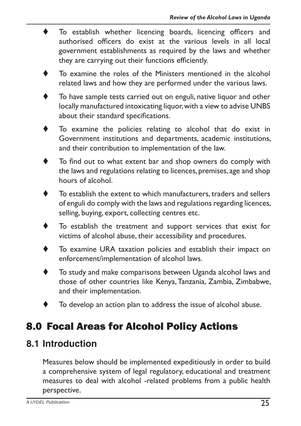- To establish whether licencing boards, licencing officers and authorised officers do exist at the various levels in all local government establishments as required by the laws and whether they are carrying out their functions efficiently.
- $\bullet$  To examine the roles of the Ministers mentioned in the alcohol related laws and how they are performed under the various laws.
- To have sample tests carried out on enguli, native liquor and other locally manufactured intoxicating liquor, with a view to advise UNBS about their standard specifications.
- To examine the policies relating to alcohol that do exist in Government institutions and departments, academic institutions, and their contribution to implementation of the law.
- To find out to what extent bar and shop owners do comply with the laws and regulations relating to licences, premises, age and shop hours of alcohol.
- To establish the extent to which manufacturers, traders and sellers of enguli do comply with the laws and regulations regarding licences, selling, buying, export, collecting centres etc.
- $\blacklozenge$  To establish the treatment and support services that exist for victims of alcohol abuse, their accessibility and procedures.
- $\blacklozenge$  To examine URA taxation policies and establish their impact on enforcement/implementation of alcohol laws.
- To study and make comparisons between Uganda alcohol laws and those of other countries like Kenya,Tanzania, Zambia, Zimbabwe, and their implementation.
- To develop an action plan to address the issue of alcohol abuse.

# 8.0 Focal Areas for Alcohol Policy Actions

#### **8.1 Introduction**

Measures below should be implemented expeditiously in order to build a comprehensive system of legal regulatory, educational and treatment measures to deal with alcohol -related problems from a public health perspective.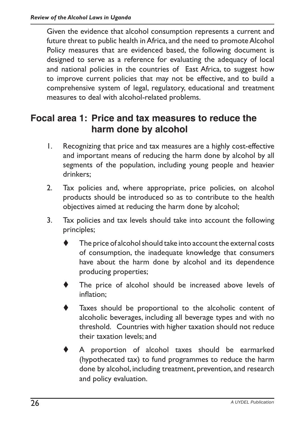Given the evidence that alcohol consumption represents a current and future threat to public health in Africa, and the need to promote Alcohol Policy measures that are evidenced based, the following document is designed to serve as a reference for evaluating the adequacy of local and national policies in the countries of East Africa, to suggest how to improve current policies that may not be effective, and to build a comprehensive system of legal, regulatory, educational and treatment measures to deal with alcohol-related problems.

#### **Focal area 1: Price and tax measures to reduce the harm done by alcohol**

- 1. Recognizing that price and tax measures are a highly cost-effective and important means of reducing the harm done by alcohol by all segments of the population, including young people and heavier drinkers;
- 2. Tax policies and, where appropriate, price policies, on alcohol products should be introduced so as to contribute to the health objectives aimed at reducing the harm done by alcohol;
- 3. Tax policies and tax levels should take into account the following principles;
	- The price of alcohol should take into account the external costs of consumption, the inadequate knowledge that consumers have about the harm done by alcohol and its dependence producing properties;
	- The price of alcohol should be increased above levels of inflation;
	- Taxes should be proportional to the alcoholic content of alcoholic beverages, including all beverage types and with no threshold. Countries with higher taxation should not reduce their taxation levels; and
	- A proportion of alcohol taxes should be earmarked (hypothecated tax) to fund programmes to reduce the harm done by alcohol, including treatment, prevention, and research and policy evaluation.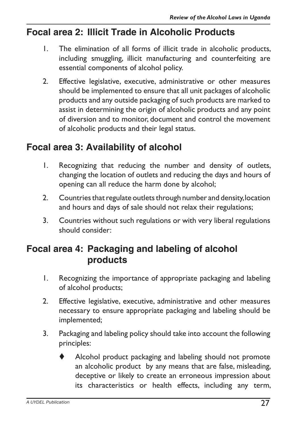#### **Focal area 2: Illicit Trade in Alcoholic Products**

- 1. The elimination of all forms of illicit trade in alcoholic products, including smuggling, illicit manufacturing and counterfeiting are essential components of alcohol policy.
- 2. Effective legislative, executive, administrative or other measures should be implemented to ensure that all unit packages of alcoholic products and any outside packaging of such products are marked to assist in determining the origin of alcoholic products and any point of diversion and to monitor, document and control the movement of alcoholic products and their legal status.

#### **Focal area 3: Availability of alcohol**

- 1. Recognizing that reducing the number and density of outlets, changing the location of outlets and reducing the days and hours of opening can all reduce the harm done by alcohol;
- 2. Countries that regulate outlets through number and density, location and hours and days of sale should not relax their regulations;
- 3. Countries without such regulations or with very liberal regulations should consider:

#### **Focal area 4: Packaging and labeling of alcohol products**

- 1. Recognizing the importance of appropriate packaging and labeling of alcohol products;
- 2. Effective legislative, executive, administrative and other measures necessary to ensure appropriate packaging and labeling should be implemented;
- 3. Packaging and labeling policy should take into account the following principles:
	- Alcohol product packaging and labeling should not promote an alcoholic product by any means that are false, misleading, deceptive or likely to create an erroneous impression about its characteristics or health effects, including any term,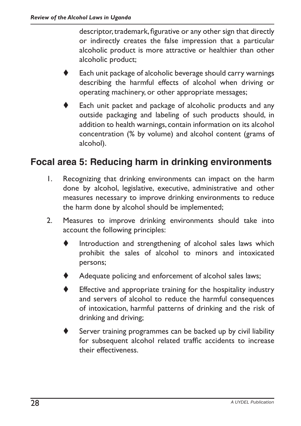descriptor, trademark, figurative or any other sign that directly or indirectly creates the false impression that a particular alcoholic product is more attractive or healthier than other alcoholic product;

- Each unit package of alcoholic beverage should carry warnings describing the harmful effects of alcohol when driving or operating machinery, or other appropriate messages;
- Each unit packet and package of alcoholic products and any outside packaging and labeling of such products should, in addition to health warnings, contain information on its alcohol concentration (% by volume) and alcohol content (grams of alcohol).

#### **Focal area 5: Reducing harm in drinking environments**

- 1. Recognizing that drinking environments can impact on the harm done by alcohol, legislative, executive, administrative and other measures necessary to improve drinking environments to reduce the harm done by alcohol should be implemented;
- 2. Measures to improve drinking environments should take into account the following principles:
	- $\blacklozenge$  Introduction and strengthening of alcohol sales laws which prohibit the sales of alcohol to minors and intoxicated persons;
	- Adequate policing and enforcement of alcohol sales laws;
	- Effective and appropriate training for the hospitality industry and servers of alcohol to reduce the harmful consequences of intoxication, harmful patterns of drinking and the risk of drinking and driving;
	- Server training programmes can be backed up by civil liability for subsequent alcohol related traffic accidents to increase their effectiveness.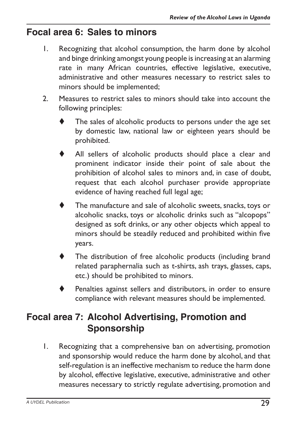#### **Focal area 6: Sales to minors**

- 1. Recognizing that alcohol consumption, the harm done by alcohol and binge drinking amongst young people is increasing at an alarming rate in many African countries, effective legislative, executive, administrative and other measures necessary to restrict sales to minors should be implemented;
- 2. Measures to restrict sales to minors should take into account the following principles:
	- The sales of alcoholic products to persons under the age set by domestic law, national law or eighteen years should be prohibited.
	- All sellers of alcoholic products should place a clear and prominent indicator inside their point of sale about the prohibition of alcohol sales to minors and, in case of doubt, request that each alcohol purchaser provide appropriate evidence of having reached full legal age;
	- The manufacture and sale of alcoholic sweets, snacks, toys or alcoholic snacks, toys or alcoholic drinks such as "alcopops" designed as soft drinks, or any other objects which appeal to minors should be steadily reduced and prohibited within five years.
	- The distribution of free alcoholic products (including brand related paraphernalia such as t-shirts, ash trays, glasses, caps, etc.) should be prohibited to minors.
	- Penalties against sellers and distributors, in order to ensure compliance with relevant measures should be implemented.

#### **Focal area 7: Alcohol Advertising, Promotion and Sponsorship**

1. Recognizing that a comprehensive ban on advertising, promotion and sponsorship would reduce the harm done by alcohol, and that self-regulation is an ineffective mechanism to reduce the harm done by alcohol, effective legislative, executive, administrative and other measures necessary to strictly regulate advertising, promotion and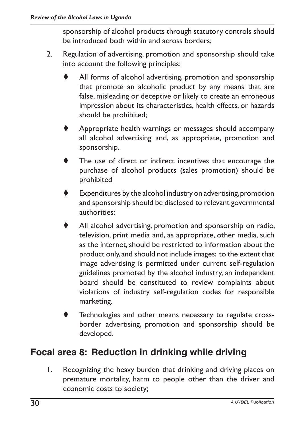sponsorship of alcohol products through statutory controls should be introduced both within and across borders;

- 2. Regulation of advertising, promotion and sponsorship should take into account the following principles:
	- All forms of alcohol advertising, promotion and sponsorship that promote an alcoholic product by any means that are false, misleading or deceptive or likely to create an erroneous impression about its characteristics, health effects, or hazards should be prohibited;
	- Appropriate health warnings or messages should accompany all alcohol advertising and, as appropriate, promotion and sponsorship.
	- The use of direct or indirect incentives that encourage the purchase of alcohol products (sales promotion) should be prohibited
	- Expenditures by the alcohol industry on advertising, promotion and sponsorship should be disclosed to relevant governmental authorities;
	- All alcohol advertising, promotion and sponsorship on radio, television, print media and, as appropriate, other media, such as the internet, should be restricted to information about the product only,and should not include images; to the extent that image advertising is permitted under current self-regulation guidelines promoted by the alcohol industry, an independent board should be constituted to review complaints about violations of industry self-regulation codes for responsible marketing.
	- Technologies and other means necessary to regulate crossborder advertising, promotion and sponsorship should be developed.

#### **Focal area 8: Reduction in drinking while driving**

1. Recognizing the heavy burden that drinking and driving places on premature mortality, harm to people other than the driver and economic costs to society;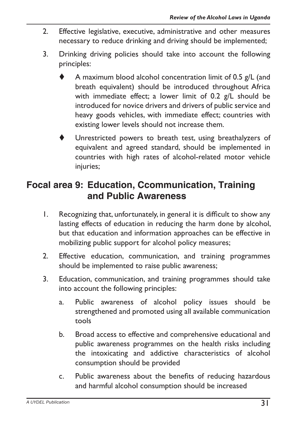- 2. Effective legislative, executive, administrative and other measures necessary to reduce drinking and driving should be implemented;
- 3. Drinking driving policies should take into account the following principles:
	- A maximum blood alcohol concentration limit of 0.5  $g/L$  (and breath equivalent) should be introduced throughout Africa with immediate effect; a lower limit of 0.2 g/L should be introduced for novice drivers and drivers of public service and heavy goods vehicles, with immediate effect; countries with existing lower levels should not increase them.
	- Unrestricted powers to breath test, using breathalyzers of equivalent and agreed standard, should be implemented in countries with high rates of alcohol-related motor vehicle injuries;

#### **Focal area 9: Education, Ccommunication, Training and Public Awareness**

- 1. Recognizing that, unfortunately, in general it is difficult to show any lasting effects of education in reducing the harm done by alcohol, but that education and information approaches can be effective in mobilizing public support for alcohol policy measures;
- 2. Effective education, communication, and training programmes should be implemented to raise public awareness;
- 3. Education, communication, and training programmes should take into account the following principles:
	- a. Public awareness of alcohol policy issues should be strengthened and promoted using all available communication tools
	- b. Broad access to effective and comprehensive educational and public awareness programmes on the health risks including the intoxicating and addictive characteristics of alcohol consumption should be provided
	- c. Public awareness about the benefits of reducing hazardous and harmful alcohol consumption should be increased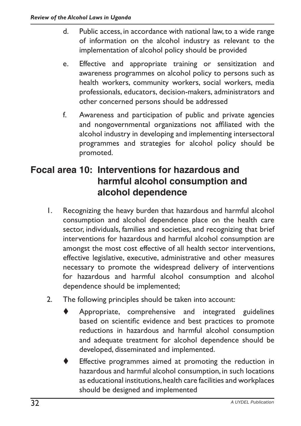- d. Public access, in accordance with national law, to a wide range of information on the alcohol industry as relevant to the implementation of alcohol policy should be provided
- e. Effective and appropriate training or sensitization and awareness programmes on alcohol policy to persons such as health workers, community workers, social workers, media professionals, educators, decision-makers, administrators and other concerned persons should be addressed
- f. Awareness and participation of public and private agencies and nongovernmental organizations not affiliated with the alcohol industry in developing and implementing intersectoral programmes and strategies for alcohol policy should be promoted.

#### **Focal area 10: Interventions for hazardous and harmful alcohol consumption and alcohol dependence**

- 1. Recognizing the heavy burden that hazardous and harmful alcohol consumption and alcohol dependence place on the health care sector, individuals, families and societies, and recognizing that brief interventions for hazardous and harmful alcohol consumption are amongst the most cost effective of all health sector interventions, effective legislative, executive, administrative and other measures necessary to promote the widespread delivery of interventions for hazardous and harmful alcohol consumption and alcohol dependence should be implemented;
- 2. The following principles should be taken into account:
	- Appropriate, comprehensive and integrated guidelines based on scientific evidence and best practices to promote reductions in hazardous and harmful alcohol consumption and adequate treatment for alcohol dependence should be developed, disseminated and implemented.
		- Effective programmes aimed at promoting the reduction in hazardous and harmful alcohol consumption, in such locations as educational institutions,health care facilities and workplaces should be designed and implemented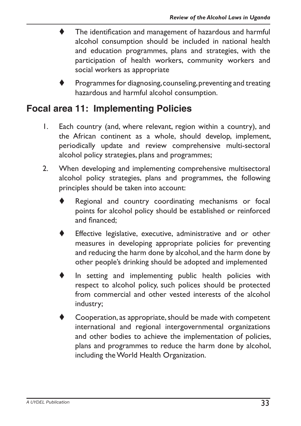- The identification and management of hazardous and harmful alcohol consumption should be included in national health and education programmes, plans and strategies, with the participation of health workers, community workers and social workers as appropriate
- Programmes for diagnosing, counseling, preventing and treating hazardous and harmful alcohol consumption.

#### **Focal area 11: Implementing Policies**

- 1. Each country (and, where relevant, region within a country), and the African continent as a whole, should develop, implement, periodically update and review comprehensive multi-sectoral alcohol policy strategies, plans and programmes;
- 2. When developing and implementing comprehensive multisectoral alcohol policy strategies, plans and programmes, the following principles should be taken into account:
	- Regional and country coordinating mechanisms or focal points for alcohol policy should be established or reinforced and financed;
	- Effective legislative, executive, administrative and or other measures in developing appropriate policies for preventing and reducing the harm done by alcohol, and the harm done by other people's drinking should be adopted and implemented
	- In setting and implementing public health policies with respect to alcohol policy, such polices should be protected from commercial and other vested interests of the alcohol industry;
	- Cooperation, as appropriate, should be made with competent international and regional intergovernmental organizations and other bodies to achieve the implementation of policies, plans and programmes to reduce the harm done by alcohol, including theWorld Health Organization.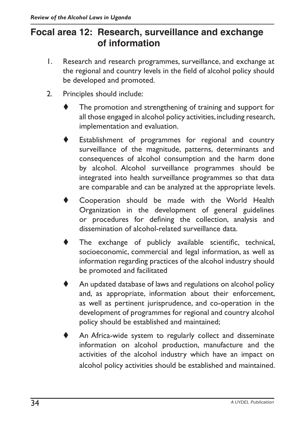#### **Focal area 12: Research, surveillance and exchange of information**

- 1. Research and research programmes, surveillance, and exchange at the regional and country levels in the field of alcohol policy should be developed and promoted.
- 2. Principles should include:
	- The promotion and strengthening of training and support for all those engaged in alcohol policy activities,including research, implementation and evaluation.
	- Establishment of programmes for regional and country surveillance of the magnitude, patterns, determinants and consequences of alcohol consumption and the harm done by alcohol. Alcohol surveillance programmes should be integrated into health surveillance programmes so that data are comparable and can be analyzed at the appropriate levels.
	- Cooperation should be made with the World Health Organization in the development of general guidelines or procedures for defining the collection, analysis and dissemination of alcohol-related surveillance data.
	- The exchange of publicly available scientific, technical, socioeconomic, commercial and legal information, as well as information regarding practices of the alcohol industry should be promoted and facilitated
	- An updated database of laws and regulations on alcohol policy and, as appropriate, information about their enforcement, as well as pertinent jurisprudence, and co-operation in the development of programmes for regional and country alcohol policy should be established and maintained;
	- An Africa-wide system to regularly collect and disseminate information on alcohol production, manufacture and the activities of the alcohol industry which have an impact on alcohol policy activities should be established and maintained.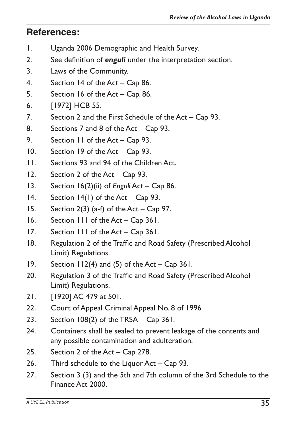#### **References:**

- 1. Uganda 2006 Demographic and Health Survey.
- 2. See definition of *enguli* under the interpretation section.
- 3. Laws of the Community.
- 4. Section 14 of the Act Cap 86.
- 5. Section 16 of the  $Act Cap. 86$ .
- 6. [1972] HCB 55.
- 7. Section 2 and the First Schedule of the Act Cap 93.
- 8. Sections 7 and 8 of the Act Cap 93.
- 9. Section 11 of the Act Cap 93.
- 10. Section 19 of the Act Cap 93.
- 11. Sections 93 and 94 of the Children Act.
- 12. Section 2 of the  $Act Cap$  93.
- 13. Section 16(2)(ii) of *Enguli* Act Cap 86.
- 14. Section  $14(1)$  of the Act Cap 93.
- 15. Section 2(3) (a-f) of the Act Cap 97.
- 16. Section 111 of the Act Cap 361.
- 17. Section 111 of the Act Cap 361.
- 18. Regulation 2 of the Traffic and Road Safety (Prescribed Alcohol Limit) Regulations.
- 19. Section  $112(4)$  and (5) of the Act Cap 361.
- 20. Regulation 3 of the Traffic and Road Safety (Prescribed Alcohol Limit) Regulations.
- 21. [1920] AC 479 at 501.
- 22. Court of Appeal Criminal Appeal No. 8 of 1996
- 23. Section  $108(2)$  of the TRSA Cap 361.
- 24. Containers shall be sealed to prevent leakage of the contents and any possible contamination and adulteration.
- 25. Section 2 of the Act Cap 278.
- 26. Third schedule to the Liquor Act Cap 93.
- 27. Section 3 (3) and the 5th and 7th column of the 3rd Schedule to the Finance Act 2000.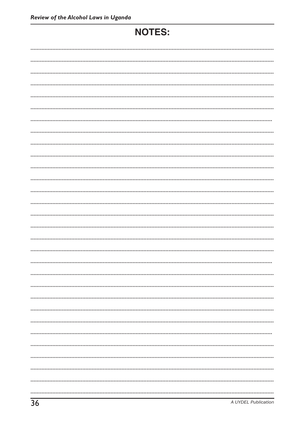# **NOTES:**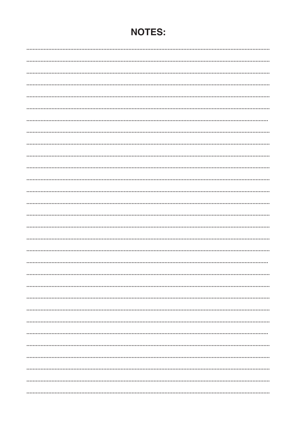## **NOTES:**